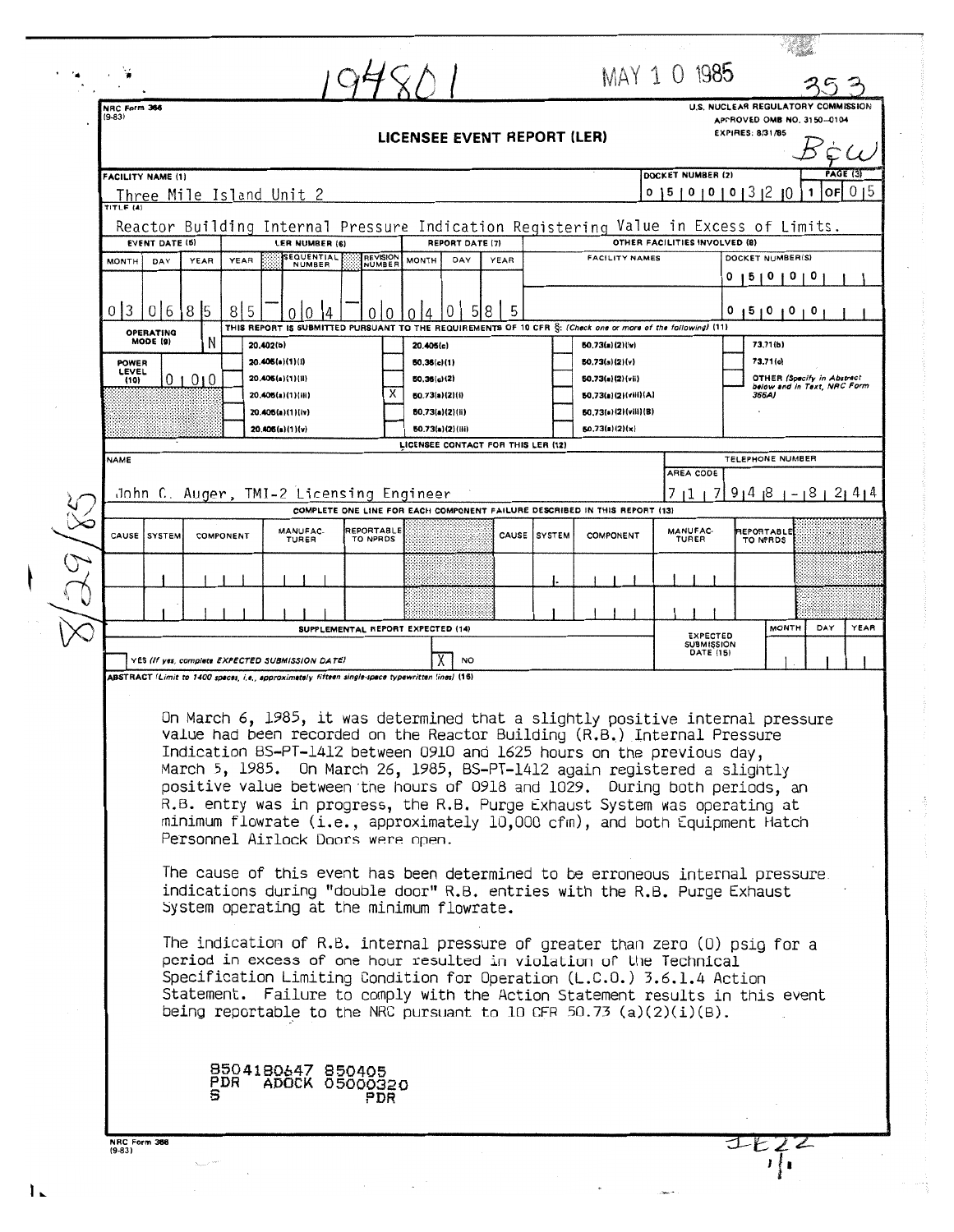|                                                                                                                                                                                                                                                                                                                                                                                                                                                                                                                                                                                                   |                                                                                                                                                                               |           |      |                                                          |                           |                                                                                                                                |                                                                                       |              |                                                                | MAY 1 0 1985                         |                                                |                                                                  |  |
|---------------------------------------------------------------------------------------------------------------------------------------------------------------------------------------------------------------------------------------------------------------------------------------------------------------------------------------------------------------------------------------------------------------------------------------------------------------------------------------------------------------------------------------------------------------------------------------------------|-------------------------------------------------------------------------------------------------------------------------------------------------------------------------------|-----------|------|----------------------------------------------------------|---------------------------|--------------------------------------------------------------------------------------------------------------------------------|---------------------------------------------------------------------------------------|--------------|----------------------------------------------------------------|--------------------------------------|------------------------------------------------|------------------------------------------------------------------|--|
| NRC Form 366<br>$(9-83)$                                                                                                                                                                                                                                                                                                                                                                                                                                                                                                                                                                          |                                                                                                                                                                               |           |      |                                                          |                           | LICENSEE EVENT REPORT (LER)                                                                                                    |                                                                                       |              |                                                                |                                      | APPROVED OMB NO. 3150-0104<br>EXPIRES: 8/31/85 | U.S. NUCLEAR REGULATORY COMMISSION                               |  |
| <b>FACILITY NAME (1)</b>                                                                                                                                                                                                                                                                                                                                                                                                                                                                                                                                                                          |                                                                                                                                                                               |           |      |                                                          |                           |                                                                                                                                |                                                                                       |              |                                                                | DOCKET NUMBER (2)                    |                                                | <b>PAGE (3)</b>                                                  |  |
| TITLE (4)                                                                                                                                                                                                                                                                                                                                                                                                                                                                                                                                                                                         |                                                                                                                                                                               |           |      | Three Mile Island Unit 2                                 |                           | Reactor Building Internal Pressure Indication Registering Value in Excess of Limits.                                           |                                                                                       |              |                                                                |                                      | 0   5   0   0   0   3   2   0                  | lorl 0 15<br>1                                                   |  |
| <b>MONTH</b>                                                                                                                                                                                                                                                                                                                                                                                                                                                                                                                                                                                      | <b>EVENT DATE (5)</b><br>DAY                                                                                                                                                  | YEAR      | YEAR | LER NUMBER (6)<br><b>SEQUENTIAL</b><br>NUMBER            | <b>REVISION</b><br>NUMBER | <b>REPORT DATE (7)</b><br><b>MONTH</b><br>DAY                                                                                  | YEAR                                                                                  |              | <b>FACILITY NAMES</b>                                          | OTHER FACILITIES INVOLVED (8)        | DOCKET NUMBER(S)                               |                                                                  |  |
|                                                                                                                                                                                                                                                                                                                                                                                                                                                                                                                                                                                                   |                                                                                                                                                                               |           |      |                                                          |                           |                                                                                                                                |                                                                                       |              |                                                                |                                      | 1510101                                        | 0                                                                |  |
| 0 <sup>3</sup>                                                                                                                                                                                                                                                                                                                                                                                                                                                                                                                                                                                    | 016<br><b>OPERATING</b><br>MODE (9)                                                                                                                                           | 85        | 8 5  | 0<br>20.402(b)                                           | Ω                         | 8<br>THIS REPORT IS SUBMITTED PURSUANT TO THE REQUIREMENTS OF 10 CFR S: (Check one or more of the following) (11)<br>20.405(c) | 5                                                                                     |              | 50.73(a)(2)(iv)                                                |                                      | 0 1 2 1 0 1 0 1 0 1<br>73,71(b)                |                                                                  |  |
| <b>POWER</b><br>LEVEL<br>(10)                                                                                                                                                                                                                                                                                                                                                                                                                                                                                                                                                                     |                                                                                                                                                                               | 01010     |      | 20.405(a)(1)(i)<br>20.405(a)(1)(ii)                      | х                         | 50.36(c)(1)<br>50.36(c)(2)                                                                                                     |                                                                                       |              | 50.73(a)(2)(v)<br>50.73(a)(2)(vii)                             |                                      | 73.71(c)                                       | <b>OTHER (Specify in Abstract</b><br>below and in Text, NRC Form |  |
|                                                                                                                                                                                                                                                                                                                                                                                                                                                                                                                                                                                                   |                                                                                                                                                                               |           |      | 20.406(a)(1)(iii)<br>20.405(a)(1)(iv)<br>20.405(n)(1)(v) |                           | 50.73(a)(2)(i)<br>50.73(a)(2)(ii)<br>60.73(a)(2)(iii)                                                                          |                                                                                       |              | 50.73(a)(2)(viii)(A)<br>50.73(a)(2)(viii)(B)<br>50.73(a)(2)(x) |                                      | 366A)                                          |                                                                  |  |
| NAME                                                                                                                                                                                                                                                                                                                                                                                                                                                                                                                                                                                              |                                                                                                                                                                               |           |      |                                                          |                           | LICENSEE CONTACT FOR THIS LER (12)                                                                                             |                                                                                       |              |                                                                | AREA CODE                            | TELEPHONE NUMBER                               |                                                                  |  |
|                                                                                                                                                                                                                                                                                                                                                                                                                                                                                                                                                                                                   |                                                                                                                                                                               |           |      | John C. Auger, TMI-2 Licensing Engineer                  |                           |                                                                                                                                | 711 171<br>COMPLETE ONE LINE FOR EACH COMPONENT FAILURE DESCRIBED IN THIS REPORT (13) |              |                                                                |                                      |                                                | $91418 - 18121414$                                               |  |
|                                                                                                                                                                                                                                                                                                                                                                                                                                                                                                                                                                                                   | CAUSE SYSTEM                                                                                                                                                                  | COMPONENT |      | MANUFAC-<br>TURER                                        | REPORTABLE<br>TO NPRDS    |                                                                                                                                |                                                                                       | CAUSE SYSTEM | COMPONENT                                                      | MANUFAC-<br><b>TURER</b>             | REPORTABLE<br>TO NPRDS                         |                                                                  |  |
|                                                                                                                                                                                                                                                                                                                                                                                                                                                                                                                                                                                                   |                                                                                                                                                                               |           |      |                                                          |                           |                                                                                                                                |                                                                                       |              |                                                                |                                      |                                                |                                                                  |  |
|                                                                                                                                                                                                                                                                                                                                                                                                                                                                                                                                                                                                   |                                                                                                                                                                               |           |      |                                                          |                           | SUPPLEMENTAL REPORT EXPECTED (14)                                                                                              |                                                                                       |              |                                                                | <b>EXPECTED</b><br><b>SUBMISSION</b> | <b>MONTH</b>                                   | DAY<br>YEAR                                                      |  |
|                                                                                                                                                                                                                                                                                                                                                                                                                                                                                                                                                                                                   | DATE (15)<br>YES (If yes, complete EXPECTED SUBMISSION DATE)<br><b>NO</b><br>ABSTRACT (Limit to 1400 spaces, i.e., approximately fifteen single-space typewritten lines) (16) |           |      |                                                          |                           |                                                                                                                                |                                                                                       |              |                                                                |                                      |                                                |                                                                  |  |
| On March 6, 1985, it was determined that a slightly positive internal pressure<br>value had been recorded on the Reactor Building (R.B.) Internal Pressure<br>Indication BS-PT-1412 between 0910 and 1625 hours on the previous day,<br>March 5, 1985. On March 26, 1985, BS-PT-1412 again registered a slightly<br>positive value between the hours of 0918 and 1029. During both periods, an<br>R.B. entry was in progress, the R.B. Purge Exhaust System was operating at<br>minimum flowrate (i.e., approximately 10,000 cfm), and both Equipment Hatch<br>Personnel Airlock Doors were open. |                                                                                                                                                                               |           |      |                                                          |                           |                                                                                                                                |                                                                                       |              |                                                                |                                      |                                                |                                                                  |  |
| The cause of this event has been determined to be erroneous internal pressure.<br>indications during "double door" R.B. entries with the R.B. Purge Exhaust<br>System operating at the minimum flowrate.                                                                                                                                                                                                                                                                                                                                                                                          |                                                                                                                                                                               |           |      |                                                          |                           |                                                                                                                                |                                                                                       |              |                                                                |                                      |                                                |                                                                  |  |
| The indication of R.B. internal pressure of greater than zero (0) psig for a<br>period in excess of one hour resulted in violation of the Technical<br>Specification Limiting Condition for Operation (L.C.O.) 3.6.1.4 Action<br>Statement. Failure to comply with the Action Statement results in this event<br>being reportable to the NRC pursuant to 10 CFR 50.73 (a)(2)(i)(B).                                                                                                                                                                                                               |                                                                                                                                                                               |           |      |                                                          |                           |                                                                                                                                |                                                                                       |              |                                                                |                                      |                                                |                                                                  |  |
|                                                                                                                                                                                                                                                                                                                                                                                                                                                                                                                                                                                                   |                                                                                                                                                                               | PDR       |      | 8504180647 850405<br>ADOCK 05000320                      | PDR                       |                                                                                                                                |                                                                                       |              |                                                                |                                      |                                                |                                                                  |  |
| NRC Form 366<br>$(9 - 83)$                                                                                                                                                                                                                                                                                                                                                                                                                                                                                                                                                                        |                                                                                                                                                                               |           |      |                                                          |                           |                                                                                                                                |                                                                                       |              |                                                                |                                      |                                                |                                                                  |  |

 $1.$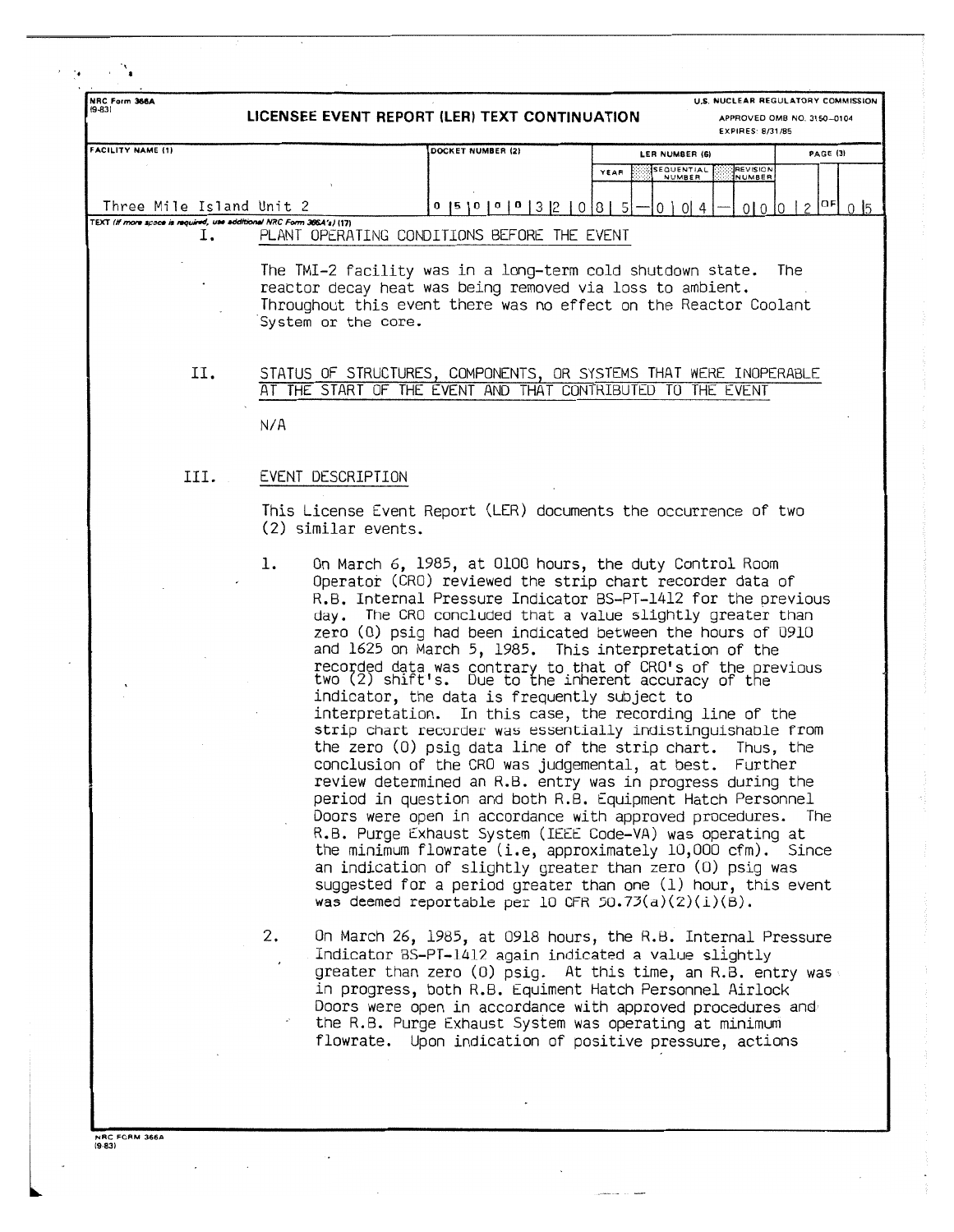| NRC Form 366A<br>$(9-83)$                                                   |                                          | LICENSEE EVENT REPORT (LER) TEXT CONTINUATION                                                                                                                                                                                                                                                                                                                                                                                                                                                                                                                                                                                                                                                                                                                                                                                                                                                                                                                                                                                                                                                                                                                                                                                                                                                     |                              | U.S. NUCLEAR REGULATORY COMMISSION<br><b>EXPIRES: 8/31/85</b> | APPROVED OMB NO. 3150-0104 |  |
|-----------------------------------------------------------------------------|------------------------------------------|---------------------------------------------------------------------------------------------------------------------------------------------------------------------------------------------------------------------------------------------------------------------------------------------------------------------------------------------------------------------------------------------------------------------------------------------------------------------------------------------------------------------------------------------------------------------------------------------------------------------------------------------------------------------------------------------------------------------------------------------------------------------------------------------------------------------------------------------------------------------------------------------------------------------------------------------------------------------------------------------------------------------------------------------------------------------------------------------------------------------------------------------------------------------------------------------------------------------------------------------------------------------------------------------------|------------------------------|---------------------------------------------------------------|----------------------------|--|
| FACILITY NAME (1)                                                           |                                          | DOCKET NUMBER (2)                                                                                                                                                                                                                                                                                                                                                                                                                                                                                                                                                                                                                                                                                                                                                                                                                                                                                                                                                                                                                                                                                                                                                                                                                                                                                 | LER NUMBER (6)               |                                                               | <b>PAGE (3)</b>            |  |
|                                                                             |                                          |                                                                                                                                                                                                                                                                                                                                                                                                                                                                                                                                                                                                                                                                                                                                                                                                                                                                                                                                                                                                                                                                                                                                                                                                                                                                                                   | SEQUENTIAL<br>YEAR<br>NUMBER | REVISION<br>NUMBER                                            |                            |  |
|                                                                             |                                          |                                                                                                                                                                                                                                                                                                                                                                                                                                                                                                                                                                                                                                                                                                                                                                                                                                                                                                                                                                                                                                                                                                                                                                                                                                                                                                   |                              |                                                               |                            |  |
| Three Mile Island Unit 2                                                    |                                          | 0  5  0  0  0  3  2<br>0                                                                                                                                                                                                                                                                                                                                                                                                                                                                                                                                                                                                                                                                                                                                                                                                                                                                                                                                                                                                                                                                                                                                                                                                                                                                          | 0   0   4<br>18 L<br>5       |                                                               | $0 0 0 2 ^{OF}$ 0 5        |  |
| TEXT (If more space is required, use additional NRC Form 366A's) (17)<br>ī. |                                          | PLANT OPERATING CONDITIONS BEFORE THE EVENT                                                                                                                                                                                                                                                                                                                                                                                                                                                                                                                                                                                                                                                                                                                                                                                                                                                                                                                                                                                                                                                                                                                                                                                                                                                       |                              |                                                               |                            |  |
|                                                                             | System or the core.                      | The TMI-2 facility was in a long-term cold shutdown state.<br>reactor decay heat was being removed via loss to ambient.<br>Throughout this event there was no effect on the Reactor Coolant                                                                                                                                                                                                                                                                                                                                                                                                                                                                                                                                                                                                                                                                                                                                                                                                                                                                                                                                                                                                                                                                                                       |                              |                                                               | The                        |  |
| П.                                                                          | АT                                       | STATUS OF STRUCTURES, COMPONENTS, OR SYSTEMS THAT WERE INOPERABLE<br>THE START OF THE EVENT AND THAT CONTRIBUTED TO THE EVENT                                                                                                                                                                                                                                                                                                                                                                                                                                                                                                                                                                                                                                                                                                                                                                                                                                                                                                                                                                                                                                                                                                                                                                     |                              |                                                               |                            |  |
|                                                                             | N/A                                      |                                                                                                                                                                                                                                                                                                                                                                                                                                                                                                                                                                                                                                                                                                                                                                                                                                                                                                                                                                                                                                                                                                                                                                                                                                                                                                   |                              |                                                               |                            |  |
| III.                                                                        | EVENT DESCRIPTION<br>(2) similar events. | This License Event Report (LER) documents the occurrence of two                                                                                                                                                                                                                                                                                                                                                                                                                                                                                                                                                                                                                                                                                                                                                                                                                                                                                                                                                                                                                                                                                                                                                                                                                                   |                              |                                                               |                            |  |
|                                                                             | ı.                                       | On March 6, 1985, at OlOO hours, the duty Control Room<br>Operator (CRO) reviewed the strip chart recorder data of<br>R.B. Internal Pressure Indicator BS-PT-1412 for the previous<br>day. The CRO concluded that a value slightly greater than<br>zero (0) psig had been indicated between the hours of 0910<br>and 1625 on March 5, 1985. This interpretation of the<br>recorded data was contrary to that of CRO's of the previous<br>two (2) shift's. Due to the inherent accuracy of the<br>indicator, the data is frequently subject to<br>interpretation. In this case, the recording line of the<br>strip chart recorder was essentially indistinguishable from<br>the zero (0) psig data line of the strip chart. Thus, the<br>conclusion of the CRO was judgemental, at best.<br>review determined an R.B. entry was in progress during the<br>period in question and both R.B. Equipment Hatch Personnel<br>Doors were open in accordance with approved procedures. The<br>R.B. Purge Exhaust System (IEEE Code-VA) was operating at<br>the minimum flowrate (i.e, approximately 10,000 cfm). Since<br>an indication of slightly greater than zero (0) psig was<br>suggested for a period greater than one (1) hour, this event<br>was deemed reportable per 10 CFR 50.73(a)(2)(i)(B). |                              | Further                                                       |                            |  |
|                                                                             | 2.<br>$\mathbf{z}^{\lambda}$             | On March 26, 1985, at 0918 hours, the R.B. Internal Pressure<br>Indicator BS-PT-1412 again indicated a value slightly<br>greater than zero (0) psig. At this time, an R.B. entry was<br>in progress, both R.B. Equiment Hatch Personnel Airlock<br>Doors were open in accordance with approved procedures and<br>the R.B. Purge Exhaust System was operating at minimum<br>flowrate. Upon indication of positive pressure, actions                                                                                                                                                                                                                                                                                                                                                                                                                                                                                                                                                                                                                                                                                                                                                                                                                                                                |                              |                                                               |                            |  |

**NRC FORM 366 19-83** 

 $\ddot{\phantom{0}}$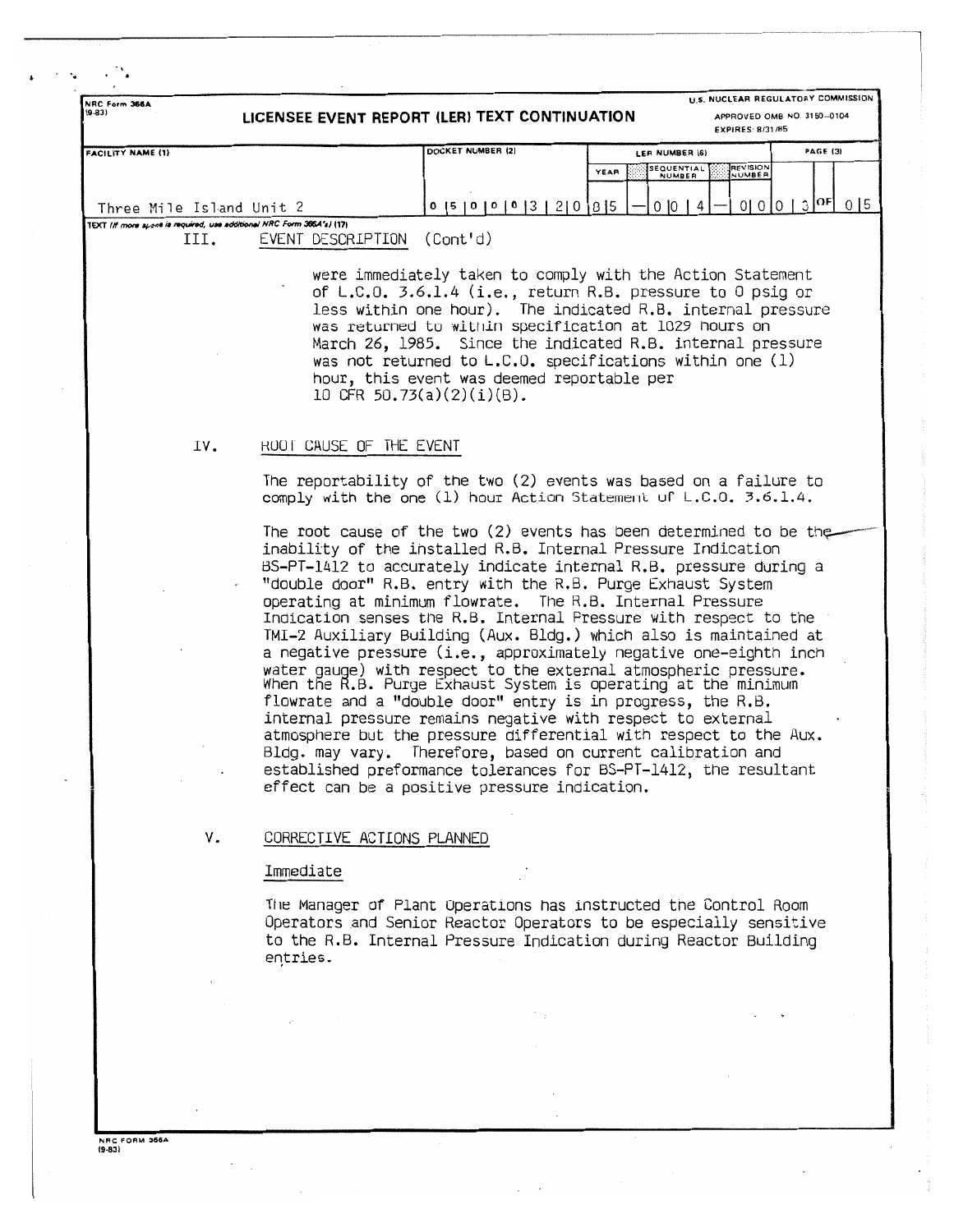| NRC Form 366A<br>$(9-83)$                                                   |                            | LICENSEE EVENT REPORT (LER) TEXT CONTINUATION                                                                                                                                                                                                                                                                                                                                                                                                                                                                                                                                                                                                                                                                                                                                                                                                                                                                                                                                                                                                                                 |      |                      | U.S. NUCLEAR REGULATORY COMMISSION<br>APPROVED OMB NO. 3150-0104<br><b>EXPIRES: 8/31/85</b> |               |          |  |
|-----------------------------------------------------------------------------|----------------------------|-------------------------------------------------------------------------------------------------------------------------------------------------------------------------------------------------------------------------------------------------------------------------------------------------------------------------------------------------------------------------------------------------------------------------------------------------------------------------------------------------------------------------------------------------------------------------------------------------------------------------------------------------------------------------------------------------------------------------------------------------------------------------------------------------------------------------------------------------------------------------------------------------------------------------------------------------------------------------------------------------------------------------------------------------------------------------------|------|----------------------|---------------------------------------------------------------------------------------------|---------------|----------|--|
| <b>FACILITY NAME (1)</b>                                                    |                            | DOCKET NUMBER (2)                                                                                                                                                                                                                                                                                                                                                                                                                                                                                                                                                                                                                                                                                                                                                                                                                                                                                                                                                                                                                                                             |      | LER NUMBER (6)       |                                                                                             |               | PAGE (3) |  |
|                                                                             |                            |                                                                                                                                                                                                                                                                                                                                                                                                                                                                                                                                                                                                                                                                                                                                                                                                                                                                                                                                                                                                                                                                               | YEAR | SEQUENTIAL<br>NUMBER | <b>REVISION</b><br>NUMBER                                                                   |               |          |  |
|                                                                             |                            |                                                                                                                                                                                                                                                                                                                                                                                                                                                                                                                                                                                                                                                                                                                                                                                                                                                                                                                                                                                                                                                                               |      |                      |                                                                                             |               |          |  |
| Three Mile Island Unit 2                                                    |                            | $0$  5   0   0   0   3   2   0   8   5                                                                                                                                                                                                                                                                                                                                                                                                                                                                                                                                                                                                                                                                                                                                                                                                                                                                                                                                                                                                                                        |      | 01014                |                                                                                             | 0 0 0 3 0F 05 |          |  |
| TEXT (If more spece is required, use additional NRC Form 366A's) (17)<br>ш. | EVENT DESCRIPTION          | (Cont'd)                                                                                                                                                                                                                                                                                                                                                                                                                                                                                                                                                                                                                                                                                                                                                                                                                                                                                                                                                                                                                                                                      |      |                      |                                                                                             |               |          |  |
|                                                                             |                            | were immediately taken to comply with the Action Statement<br>of L.C.O. 3.6.1.4 (i.e., return R.B. pressure to 0 psig or<br>less within one hour). The indicated R.B. internal pressure<br>was returned to within specification at 1029 hours on<br>March 26, 1985. Since the indicated R.B. internal pressure<br>was not returned to $L.C.0$ . specifications within one (1)<br>hour, this event was deemed reportable per<br>10 CFR 50.73(a)(2)(i)(B).                                                                                                                                                                                                                                                                                                                                                                                                                                                                                                                                                                                                                      |      |                      |                                                                                             |               |          |  |
| IV.                                                                         | ROOT CAUSE OF THE EVENT    |                                                                                                                                                                                                                                                                                                                                                                                                                                                                                                                                                                                                                                                                                                                                                                                                                                                                                                                                                                                                                                                                               |      |                      |                                                                                             |               |          |  |
|                                                                             |                            | The reportability of the two (2) events was based on a failure to<br>comply with the one (1) hour Action Statement of L.C.O. 3.6.1.4.                                                                                                                                                                                                                                                                                                                                                                                                                                                                                                                                                                                                                                                                                                                                                                                                                                                                                                                                         |      |                      |                                                                                             |               |          |  |
|                                                                             |                            | The root cause of the two (2) events has been determined to be the<br>inability of the installed R.B. Internal Pressure Indication<br>BS-PT-1412 to accurately indicate internal R.B. pressure during a<br>"double door" R.B. entry with the R.B. Purge Exhaust System<br>operating at minimum flowrate. The R.B. Internal Pressure<br>Indication senses the R.B. Internal Pressure with respect to the<br>TMI-2 Auxiliary Building (Aux. Bldg.) which also is maintained at<br>a negative pressure (i.e., approximately negative one-eighth inch<br>water gauge) with respect to the external atmospheric pressure.<br>When the R.B. Purge Exhaust System is operating at the minimum<br>flowrate and a "double door" entry is in progress, the R.B.<br>internal pressure remains negative with respect to external<br>atmosphere but the pressure differential with respect to the Aux.<br>Bldg. may vary. Therefore, based on current calibration and<br>established preformance tolerances for BS-PT-1412, the resultant<br>effect can be a positive pressure indication. |      |                      |                                                                                             |               |          |  |
| ٧.                                                                          | CORRECTIVE ACTIONS PLANNED |                                                                                                                                                                                                                                                                                                                                                                                                                                                                                                                                                                                                                                                                                                                                                                                                                                                                                                                                                                                                                                                                               |      |                      |                                                                                             |               |          |  |
|                                                                             | Immediate                  |                                                                                                                                                                                                                                                                                                                                                                                                                                                                                                                                                                                                                                                                                                                                                                                                                                                                                                                                                                                                                                                                               |      |                      |                                                                                             |               |          |  |
|                                                                             | entries.                   | The Manager of Plant Operations has instructed the Control Room<br>Operators and Senior Reactor Operators to be especially sensitive<br>to the R.B. Internal Pressure Indication during Reactor Building                                                                                                                                                                                                                                                                                                                                                                                                                                                                                                                                                                                                                                                                                                                                                                                                                                                                      |      |                      |                                                                                             |               |          |  |
|                                                                             |                            |                                                                                                                                                                                                                                                                                                                                                                                                                                                                                                                                                                                                                                                                                                                                                                                                                                                                                                                                                                                                                                                                               |      |                      |                                                                                             |               |          |  |
|                                                                             |                            |                                                                                                                                                                                                                                                                                                                                                                                                                                                                                                                                                                                                                                                                                                                                                                                                                                                                                                                                                                                                                                                                               |      |                      |                                                                                             |               |          |  |
|                                                                             |                            |                                                                                                                                                                                                                                                                                                                                                                                                                                                                                                                                                                                                                                                                                                                                                                                                                                                                                                                                                                                                                                                                               |      |                      |                                                                                             |               |          |  |
|                                                                             |                            |                                                                                                                                                                                                                                                                                                                                                                                                                                                                                                                                                                                                                                                                                                                                                                                                                                                                                                                                                                                                                                                                               |      |                      |                                                                                             |               |          |  |
|                                                                             |                            |                                                                                                                                                                                                                                                                                                                                                                                                                                                                                                                                                                                                                                                                                                                                                                                                                                                                                                                                                                                                                                                                               |      |                      |                                                                                             |               |          |  |

NRC FORM 3664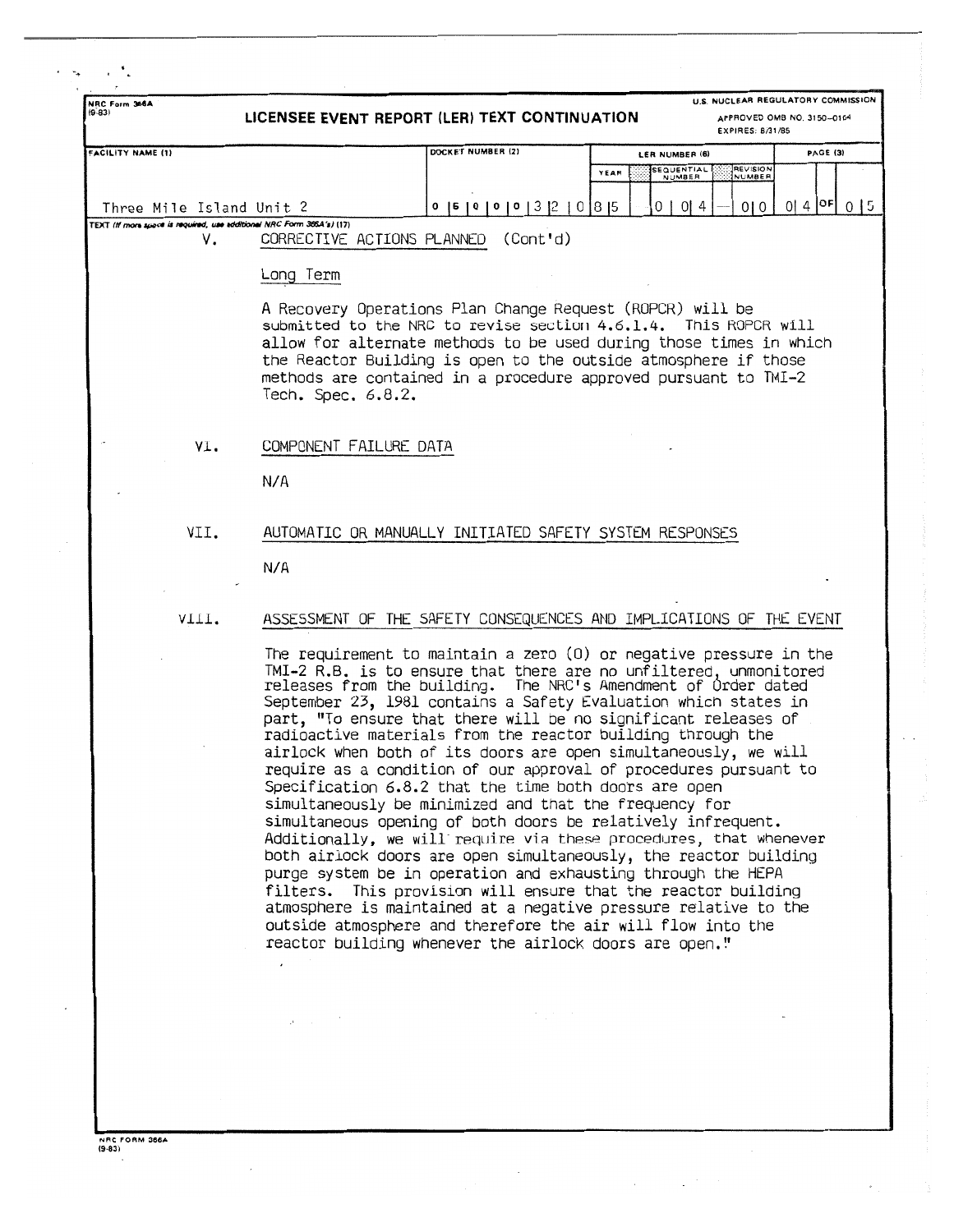| NRC Form 366A<br>(9.83)  |                                                                       | LICENSEE EVENT REPORT (LER) TEXT CONTINUATION                                                                                                                                                                                                                                                                                                                                                                                                                                                                                                                                                                                                                                                                                                                                                                                                                                                                                                                                                                                                                                                                                                                                                                 |      | EXPIRES: 8/31/85                                                    | U.S. NUCLEAR REGULATORY COMMISSION<br>APPROVED OMB NO. 3150-0104 |
|--------------------------|-----------------------------------------------------------------------|---------------------------------------------------------------------------------------------------------------------------------------------------------------------------------------------------------------------------------------------------------------------------------------------------------------------------------------------------------------------------------------------------------------------------------------------------------------------------------------------------------------------------------------------------------------------------------------------------------------------------------------------------------------------------------------------------------------------------------------------------------------------------------------------------------------------------------------------------------------------------------------------------------------------------------------------------------------------------------------------------------------------------------------------------------------------------------------------------------------------------------------------------------------------------------------------------------------|------|---------------------------------------------------------------------|------------------------------------------------------------------|
| <b>FACILITY NAME (1)</b> |                                                                       | DOCKET NUMBER (2)                                                                                                                                                                                                                                                                                                                                                                                                                                                                                                                                                                                                                                                                                                                                                                                                                                                                                                                                                                                                                                                                                                                                                                                             | YEAR | LER NUMBER (6)<br><b>REVISION</b><br>SEQUENTIAL<br>NUMBER<br>NUMBER | PAGE (3)                                                         |
| Three Mile Island Unit 2 |                                                                       | 0   5   0   0   0   0   3   2   0   8   5                                                                                                                                                                                                                                                                                                                                                                                                                                                                                                                                                                                                                                                                                                                                                                                                                                                                                                                                                                                                                                                                                                                                                                     |      | 0   0   4<br>010                                                    | $0   4  $ <sup>OF</sup> $0   5$                                  |
| ٧.                       | TEXT (If more space is required, use edditional NRC Form 366A's) (17) | CORRECTIVE ACTIONS PLANNED<br>(Cont 'd)                                                                                                                                                                                                                                                                                                                                                                                                                                                                                                                                                                                                                                                                                                                                                                                                                                                                                                                                                                                                                                                                                                                                                                       |      |                                                                     |                                                                  |
|                          | Long Term                                                             |                                                                                                                                                                                                                                                                                                                                                                                                                                                                                                                                                                                                                                                                                                                                                                                                                                                                                                                                                                                                                                                                                                                                                                                                               |      |                                                                     |                                                                  |
|                          | Tech. Spec. 6.8.2.                                                    | A Recovery Operations Plan Change Request (ROPCR) will be<br>submitted to the NRC to revise section 4.6.1.4. This ROPCR will<br>allow for alternate methods to be used during those times in which<br>the Reactor Building is open to the outside atmosphere if those<br>methods are contained in a procedure approved pursuant to TMI-2                                                                                                                                                                                                                                                                                                                                                                                                                                                                                                                                                                                                                                                                                                                                                                                                                                                                      |      |                                                                     |                                                                  |
| VI.                      | COMPONENT FAILURE DATA                                                |                                                                                                                                                                                                                                                                                                                                                                                                                                                                                                                                                                                                                                                                                                                                                                                                                                                                                                                                                                                                                                                                                                                                                                                                               |      |                                                                     |                                                                  |
|                          | N/A                                                                   |                                                                                                                                                                                                                                                                                                                                                                                                                                                                                                                                                                                                                                                                                                                                                                                                                                                                                                                                                                                                                                                                                                                                                                                                               |      |                                                                     |                                                                  |
| VII.                     |                                                                       | AUTOMATIC OR MANUALLY INITIATED SAFETY SYSTEM RESPONSES                                                                                                                                                                                                                                                                                                                                                                                                                                                                                                                                                                                                                                                                                                                                                                                                                                                                                                                                                                                                                                                                                                                                                       |      |                                                                     |                                                                  |
|                          | N/A                                                                   |                                                                                                                                                                                                                                                                                                                                                                                                                                                                                                                                                                                                                                                                                                                                                                                                                                                                                                                                                                                                                                                                                                                                                                                                               |      |                                                                     |                                                                  |
| VIII.                    |                                                                       | ASSESSMENT OF THE SAFETY CONSEQUENCES AND IMPLICATIONS OF THE EVENT                                                                                                                                                                                                                                                                                                                                                                                                                                                                                                                                                                                                                                                                                                                                                                                                                                                                                                                                                                                                                                                                                                                                           |      |                                                                     |                                                                  |
|                          |                                                                       | The requirement to maintain a zero (0) or negative pressure in the<br>TMI-2 R.B. is to ensure that there are no unfiltered, unmonitored<br>releases from the building. The NRC's Amendment of Order dated<br>September 23, 1981 contains a Safety Evaluation which states in<br>part, "To ensure that there will be no significant releases of<br>radioactive materials from the reactor building through the<br>airlock when both of its doors are open simultaneously, we will<br>require as a condition of our approval of procedures pursuant to<br>Specification 6.8.2 that the time both doors are open<br>simultaneously be minimized and that the frequency for<br>simultaneous opening of both doors be relatively infrequent.<br>Additionally, we will require via these procedures, that whenever<br>both airlock doors are open simultaneously, the reactor building<br>purge system be in operation and exhausting through the HEPA<br>filters. This provision will ensure that the reactor building<br>atmosphere is maintained at a negative pressure relative to the<br>outside atmosphere and therefore the air will flow into the<br>reactor building whenever the airlock doors are open." |      |                                                                     |                                                                  |
|                          | $\Delta \sim 10^{10}$ and $\Delta \sim 10^{10}$                       |                                                                                                                                                                                                                                                                                                                                                                                                                                                                                                                                                                                                                                                                                                                                                                                                                                                                                                                                                                                                                                                                                                                                                                                                               |      |                                                                     |                                                                  |
|                          |                                                                       |                                                                                                                                                                                                                                                                                                                                                                                                                                                                                                                                                                                                                                                                                                                                                                                                                                                                                                                                                                                                                                                                                                                                                                                                               |      |                                                                     |                                                                  |
|                          |                                                                       |                                                                                                                                                                                                                                                                                                                                                                                                                                                                                                                                                                                                                                                                                                                                                                                                                                                                                                                                                                                                                                                                                                                                                                                                               |      |                                                                     |                                                                  |

**NRC FORM 366A**<br>(9-83)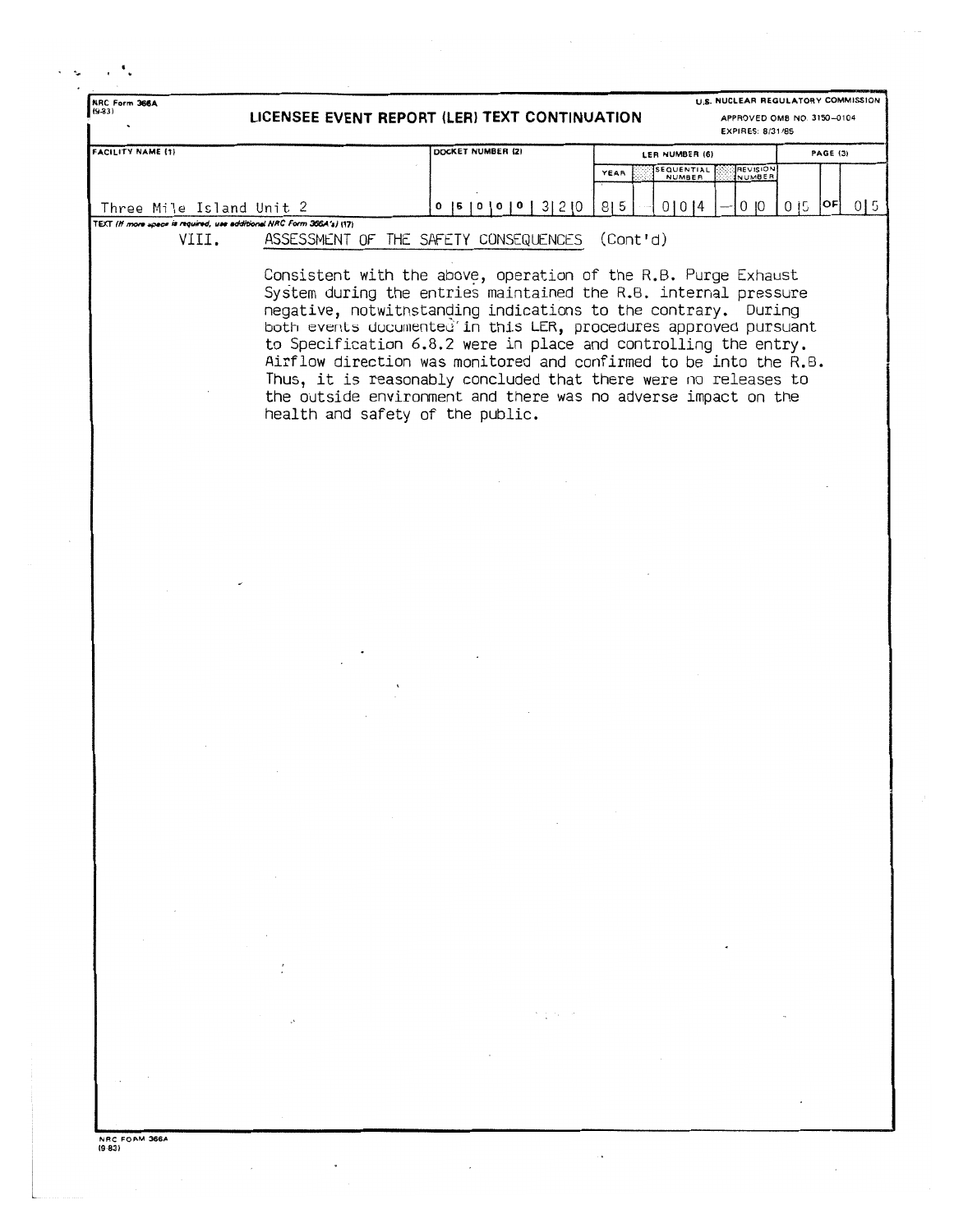| NRC Form 366A<br>$(9-83)$                                                      | LICENSEE EVENT REPORT (LER) TEXT CONTINUATION |                                                                                                                                                                                                                                                                                                                                                                                                                                                                                                                                                     |                                     | EXPIRES: 8/31/85   | U.S. NUCLEAR REGULATORY COMMISSION<br>APPROVED OMB NO. 3150-0104 |
|--------------------------------------------------------------------------------|-----------------------------------------------|-----------------------------------------------------------------------------------------------------------------------------------------------------------------------------------------------------------------------------------------------------------------------------------------------------------------------------------------------------------------------------------------------------------------------------------------------------------------------------------------------------------------------------------------------------|-------------------------------------|--------------------|------------------------------------------------------------------|
| <b>FACILITY NAME (1)</b>                                                       |                                               | DOCKET NUMBER (2)                                                                                                                                                                                                                                                                                                                                                                                                                                                                                                                                   | LER NUMBER (6)                      |                    | <b>PAGE (3)</b>                                                  |
|                                                                                |                                               |                                                                                                                                                                                                                                                                                                                                                                                                                                                                                                                                                     | SEQUENTIAL<br>YEAR<br><b>NUMBER</b> | REVISION<br>NUMBER |                                                                  |
| Three Mile Island Unit 2                                                       |                                               | 0   5   0   0   0   3   2   0                                                                                                                                                                                                                                                                                                                                                                                                                                                                                                                       | 8 5<br>01014                        | 0 <sub>10</sub>    | OF <br>0 <sub>15</sub><br>0 <sub>15</sub>                        |
| TEXT (If more upace is required, use additional NRC Form 366A's) (17)<br>VIII. |                                               | ASSESSMENT OF THE SAFETY CONSEQUENCES                                                                                                                                                                                                                                                                                                                                                                                                                                                                                                               | (Cont'd)                            |                    |                                                                  |
|                                                                                |                                               |                                                                                                                                                                                                                                                                                                                                                                                                                                                                                                                                                     |                                     |                    |                                                                  |
|                                                                                | health and safety of the public.              | Consistent with the above, operation of the R.B. Purge Exhaust<br>System during the entries maintained the R.B. internal pressure<br>negative, notwithstanding indications to the contrary. During<br>both events documented in this LER, procedures approved pursuant<br>to Specification 6.8.2 were in place and controlling the entry.<br>Airflow direction was monitored and confirmed to be into the R.B.<br>Thus, it is reasonably concluded that there were no releases to<br>the outside environment and there was no adverse impact on the |                                     |                    |                                                                  |
|                                                                                |                                               |                                                                                                                                                                                                                                                                                                                                                                                                                                                                                                                                                     |                                     |                    |                                                                  |
|                                                                                |                                               |                                                                                                                                                                                                                                                                                                                                                                                                                                                                                                                                                     |                                     |                    |                                                                  |
|                                                                                |                                               |                                                                                                                                                                                                                                                                                                                                                                                                                                                                                                                                                     |                                     |                    |                                                                  |
|                                                                                |                                               |                                                                                                                                                                                                                                                                                                                                                                                                                                                                                                                                                     |                                     |                    |                                                                  |
|                                                                                |                                               |                                                                                                                                                                                                                                                                                                                                                                                                                                                                                                                                                     |                                     |                    |                                                                  |
|                                                                                |                                               |                                                                                                                                                                                                                                                                                                                                                                                                                                                                                                                                                     |                                     |                    |                                                                  |
|                                                                                |                                               |                                                                                                                                                                                                                                                                                                                                                                                                                                                                                                                                                     |                                     |                    |                                                                  |
|                                                                                |                                               |                                                                                                                                                                                                                                                                                                                                                                                                                                                                                                                                                     |                                     |                    |                                                                  |
|                                                                                |                                               |                                                                                                                                                                                                                                                                                                                                                                                                                                                                                                                                                     |                                     |                    |                                                                  |
|                                                                                |                                               |                                                                                                                                                                                                                                                                                                                                                                                                                                                                                                                                                     |                                     |                    |                                                                  |
|                                                                                |                                               |                                                                                                                                                                                                                                                                                                                                                                                                                                                                                                                                                     |                                     |                    |                                                                  |
|                                                                                |                                               |                                                                                                                                                                                                                                                                                                                                                                                                                                                                                                                                                     |                                     |                    |                                                                  |
|                                                                                |                                               |                                                                                                                                                                                                                                                                                                                                                                                                                                                                                                                                                     |                                     |                    |                                                                  |
|                                                                                |                                               |                                                                                                                                                                                                                                                                                                                                                                                                                                                                                                                                                     |                                     |                    |                                                                  |
|                                                                                |                                               |                                                                                                                                                                                                                                                                                                                                                                                                                                                                                                                                                     |                                     |                    |                                                                  |
|                                                                                |                                               |                                                                                                                                                                                                                                                                                                                                                                                                                                                                                                                                                     |                                     |                    |                                                                  |
|                                                                                |                                               |                                                                                                                                                                                                                                                                                                                                                                                                                                                                                                                                                     |                                     |                    |                                                                  |
|                                                                                |                                               |                                                                                                                                                                                                                                                                                                                                                                                                                                                                                                                                                     |                                     |                    |                                                                  |
|                                                                                |                                               |                                                                                                                                                                                                                                                                                                                                                                                                                                                                                                                                                     |                                     |                    |                                                                  |
|                                                                                |                                               |                                                                                                                                                                                                                                                                                                                                                                                                                                                                                                                                                     |                                     |                    |                                                                  |
|                                                                                |                                               |                                                                                                                                                                                                                                                                                                                                                                                                                                                                                                                                                     |                                     |                    |                                                                  |
|                                                                                |                                               |                                                                                                                                                                                                                                                                                                                                                                                                                                                                                                                                                     |                                     |                    |                                                                  |
|                                                                                |                                               |                                                                                                                                                                                                                                                                                                                                                                                                                                                                                                                                                     |                                     |                    |                                                                  |
|                                                                                |                                               |                                                                                                                                                                                                                                                                                                                                                                                                                                                                                                                                                     |                                     |                    |                                                                  |
|                                                                                |                                               |                                                                                                                                                                                                                                                                                                                                                                                                                                                                                                                                                     |                                     |                    |                                                                  |

 $\ddot{\phantom{a}}$ 

 $\ddot{\phantom{a}}$